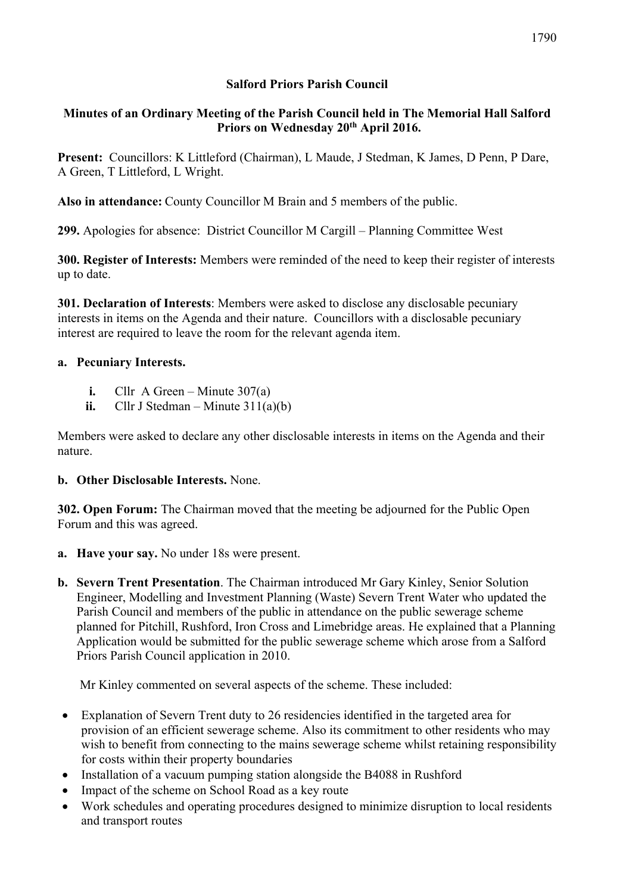# **Salford Priors Parish Council**

# **Minutes of an Ordinary Meeting of the Parish Council held in The Memorial Hall Salford Priors on Wednesday 20th April 2016.**

**Present:** Councillors: K Littleford (Chairman), L Maude, J Stedman, K James, D Penn, P Dare, A Green, T Littleford, L Wright.

**Also in attendance:** County Councillor M Brain and 5 members of the public.

**299.** Apologies for absence: District Councillor M Cargill – Planning Committee West

**300. Register of Interests:** Members were reminded of the need to keep their register of interests up to date.

**301. Declaration of Interests**: Members were asked to disclose any disclosable pecuniary interests in items on the Agenda and their nature. Councillors with a disclosable pecuniary interest are required to leave the room for the relevant agenda item.

#### **a. Pecuniary Interests.**

- **i.** Cllr A Green Minute 307(a)
- **ii.** Cllr J Stedman Minute  $311(a)(b)$

Members were asked to declare any other disclosable interests in items on the Agenda and their nature.

#### **b. Other Disclosable Interests.** None.

**302. Open Forum:** The Chairman moved that the meeting be adjourned for the Public Open Forum and this was agreed.

- **a. Have your say.** No under 18s were present.
- **b. Severn Trent Presentation**. The Chairman introduced Mr Gary Kinley, Senior Solution Engineer, Modelling and Investment Planning (Waste) Severn Trent Water who updated the Parish Council and members of the public in attendance on the public sewerage scheme planned for Pitchill, Rushford, Iron Cross and Limebridge areas. He explained that a Planning Application would be submitted for the public sewerage scheme which arose from a Salford Priors Parish Council application in 2010.

Mr Kinley commented on several aspects of the scheme. These included:

- Explanation of Severn Trent duty to 26 residencies identified in the targeted area for provision of an efficient sewerage scheme. Also its commitment to other residents who may wish to benefit from connecting to the mains sewerage scheme whilst retaining responsibility for costs within their property boundaries
- Installation of a vacuum pumping station alongside the B4088 in Rushford
- Impact of the scheme on School Road as a key route
- Work schedules and operating procedures designed to minimize disruption to local residents and transport routes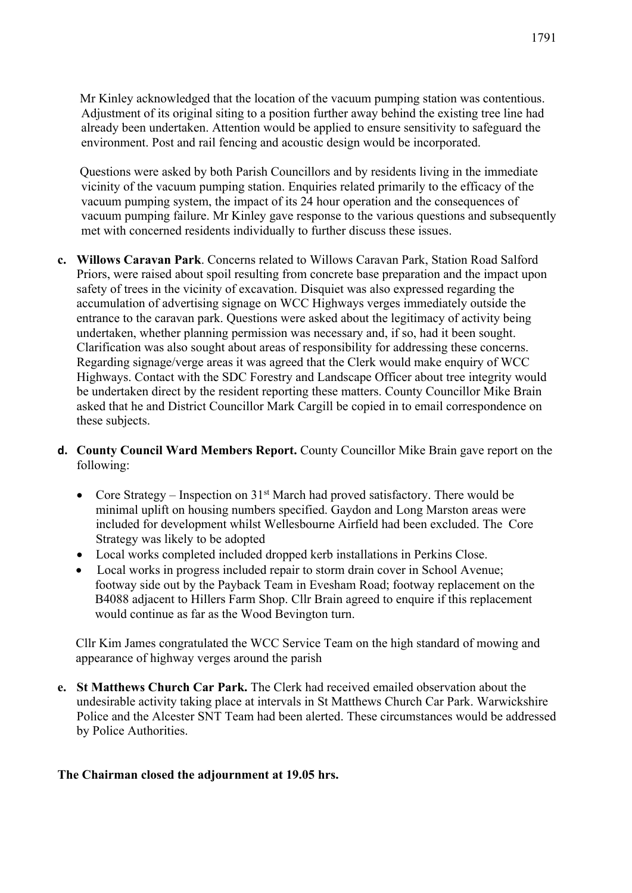Mr Kinley acknowledged that the location of the vacuum pumping station was contentious. Adjustment of its original siting to a position further away behind the existing tree line had already been undertaken. Attention would be applied to ensure sensitivity to safeguard the environment. Post and rail fencing and acoustic design would be incorporated.

 Questions were asked by both Parish Councillors and by residents living in the immediate vicinity of the vacuum pumping station. Enquiries related primarily to the efficacy of the vacuum pumping system, the impact of its 24 hour operation and the consequences of vacuum pumping failure. Mr Kinley gave response to the various questions and subsequently met with concerned residents individually to further discuss these issues.

- **c. Willows Caravan Park**. Concerns related to Willows Caravan Park, Station Road Salford Priors, were raised about spoil resulting from concrete base preparation and the impact upon safety of trees in the vicinity of excavation. Disquiet was also expressed regarding the accumulation of advertising signage on WCC Highways verges immediately outside the entrance to the caravan park. Questions were asked about the legitimacy of activity being undertaken, whether planning permission was necessary and, if so, had it been sought. Clarification was also sought about areas of responsibility for addressing these concerns. Regarding signage/verge areas it was agreed that the Clerk would make enquiry of WCC Highways. Contact with the SDC Forestry and Landscape Officer about tree integrity would be undertaken direct by the resident reporting these matters. County Councillor Mike Brain asked that he and District Councillor Mark Cargill be copied in to email correspondence on these subjects.
- **d. County Council Ward Members Report.** County Councillor Mike Brain gave report on the following:
	- Core Strategy Inspection on  $31<sup>st</sup>$  March had proved satisfactory. There would be minimal uplift on housing numbers specified. Gaydon and Long Marston areas were included for development whilst Wellesbourne Airfield had been excluded. The Core Strategy was likely to be adopted
	- Local works completed included dropped kerb installations in Perkins Close.
	- Local works in progress included repair to storm drain cover in School Avenue; footway side out by the Payback Team in Evesham Road; footway replacement on the B4088 adjacent to Hillers Farm Shop. Cllr Brain agreed to enquire if this replacement would continue as far as the Wood Bevington turn.

Cllr Kim James congratulated the WCC Service Team on the high standard of mowing and appearance of highway verges around the parish

**e. St Matthews Church Car Park.** The Clerk had received emailed observation about the undesirable activity taking place at intervals in St Matthews Church Car Park. Warwickshire Police and the Alcester SNT Team had been alerted. These circumstances would be addressed by Police Authorities.

#### **The Chairman closed the adjournment at 19.05 hrs.**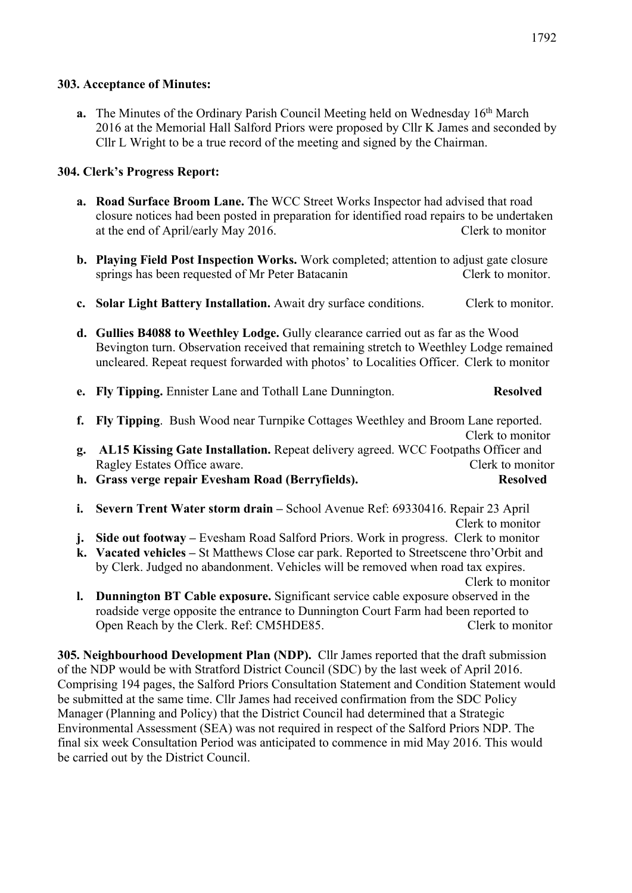#### **303. Acceptance of Minutes:**

**a.** The Minutes of the Ordinary Parish Council Meeting held on Wednesday 16<sup>th</sup> March 2016 at the Memorial Hall Salford Priors were proposed by Cllr K James and seconded by Cllr L Wright to be a true record of the meeting and signed by the Chairman.

# **304. Clerk's Progress Report:**

- **a. Road Surface Broom Lane. T**he WCC Street Works Inspector had advised that road closure notices had been posted in preparation for identified road repairs to be undertaken at the end of April/early May 2016. Clerk to monitor
- **b. Playing Field Post Inspection Works.** Work completed; attention to adjust gate closure springs has been requested of Mr Peter Batacanin Clerk to monitor.
- **c. Solar Light Battery Installation.** Await dry surface conditions. Clerk to monitor.
- **d. Gullies B4088 to Weethley Lodge.** Gully clearance carried out as far as the Wood Bevington turn. Observation received that remaining stretch to Weethley Lodge remained uncleared. Repeat request forwarded with photos' to Localities Officer. Clerk to monitor

| e. Fly Tipping. Ennister Lane and Tothall Lane Dunnington. |  |  |  |  |  | <b>Resolved</b> |  |  |
|------------------------------------------------------------|--|--|--|--|--|-----------------|--|--|
|                                                            |  |  |  |  |  |                 |  |  |

- **f. Fly Tipping**. Bush Wood near Turnpike Cottages Weethley and Broom Lane reported. Clerk to monitor **g. AL15 Kissing Gate Installation.** Repeat delivery agreed. WCC Footpaths Officer and Ragley Estates Office aware. Clerk to monitor **h. Grass verge repair Evesham Road (Berryfields). Resolved**
- 
- **i. Severn Trent Water storm drain –** School Avenue Ref: 69330416. Repair 23 April Clerk to monitor
- **j. Side out footway –** Evesham Road Salford Priors. Work in progress. Clerk to monitor
- **k. Vacated vehicles –** St Matthews Close car park. Reported to Streetscene thro'Orbit and by Clerk. Judged no abandonment. Vehicles will be removed when road tax expires. Clerk to monitor
- **l. Dunnington BT Cable exposure.** Significant service cable exposure observed in the roadside verge opposite the entrance to Dunnington Court Farm had been reported to Open Reach by the Clerk. Ref: CM5HDE85. Clerk to monitor

**305. Neighbourhood Development Plan (NDP).** Cllr James reported that the draft submission of the NDP would be with Stratford District Council (SDC) by the last week of April 2016. Comprising 194 pages, the Salford Priors Consultation Statement and Condition Statement would be submitted at the same time. Cllr James had received confirmation from the SDC Policy Manager (Planning and Policy) that the District Council had determined that a Strategic Environmental Assessment (SEA) was not required in respect of the Salford Priors NDP. The final six week Consultation Period was anticipated to commence in mid May 2016. This would be carried out by the District Council.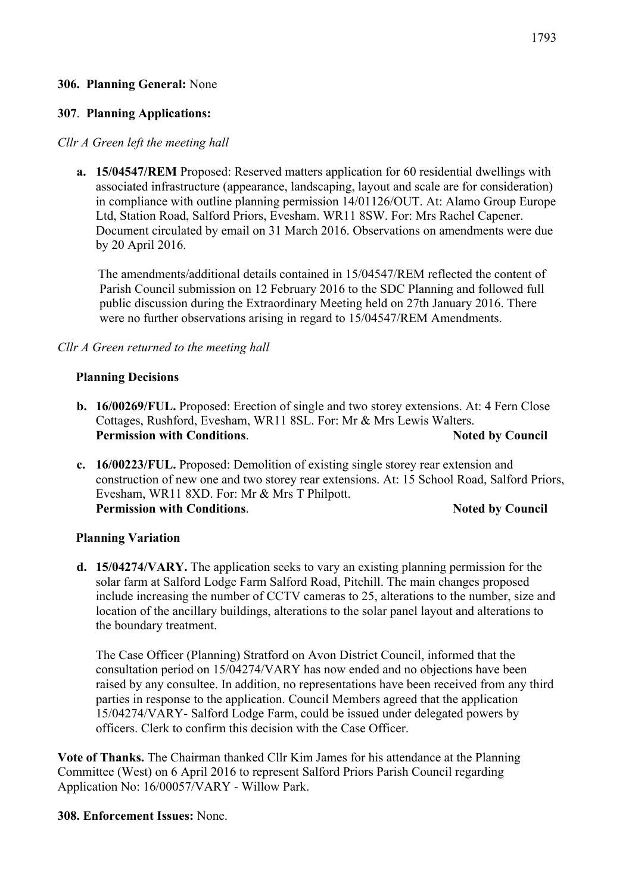#### **306. Planning General:** None

#### **307**. **Planning Applications:**

#### *Cllr A Green left the meeting hall*

**a. 15/04547/REM** Proposed: Reserved matters application for 60 residential dwellings with associated infrastructure (appearance, landscaping, layout and scale are for consideration) in compliance with outline planning permission 14/01126/OUT. At: Alamo Group Europe Ltd, Station Road, Salford Priors, Evesham. WR11 8SW. For: Mrs Rachel Capener. Document circulated by email on 31 March 2016. Observations on amendments were due by 20 April 2016.

 The amendments/additional details contained in 15/04547/REM reflected the content of Parish Council submission on 12 February 2016 to the SDC Planning and followed full public discussion during the Extraordinary Meeting held on 27th January 2016. There were no further observations arising in regard to 15/04547/REM Amendments.

#### *Cllr A Green returned to the meeting hall*

#### **Planning Decisions**

- **b. 16/00269/FUL.** Proposed: Erection of single and two storey extensions. At: 4 Fern Close Cottages, Rushford, Evesham, WR11 8SL. For: Mr & Mrs Lewis Walters. **Permission with Conditions. Noted by Council**
- **c. 16/00223/FUL.** Proposed: Demolition of existing single storey rear extension and construction of new one and two storey rear extensions. At: 15 School Road, Salford Priors, Evesham, WR11 8XD. For: Mr & Mrs T Philpott. **Permission with Conditions. Noted by Council**

#### **Planning Variation**

**d. 15/04274/VARY.** The application seeks to vary an existing planning permission for the solar farm at Salford Lodge Farm Salford Road, Pitchill. The main changes proposed include increasing the number of CCTV cameras to 25, alterations to the number, size and location of the ancillary buildings, alterations to the solar panel layout and alterations to the boundary treatment.

The Case Officer (Planning) Stratford on Avon District Council, informed that the consultation period on 15/04274/VARY has now ended and no objections have been raised by any consultee. In addition, no representations have been received from any third parties in response to the application. Council Members agreed that the application 15/04274/VARY- Salford Lodge Farm, could be issued under delegated powers by officers. Clerk to confirm this decision with the Case Officer.

**Vote of Thanks.** The Chairman thanked Cllr Kim James for his attendance at the Planning Committee (West) on 6 April 2016 to represent Salford Priors Parish Council regarding Application No: 16/00057/VARY - Willow Park.

**308. Enforcement Issues:** None.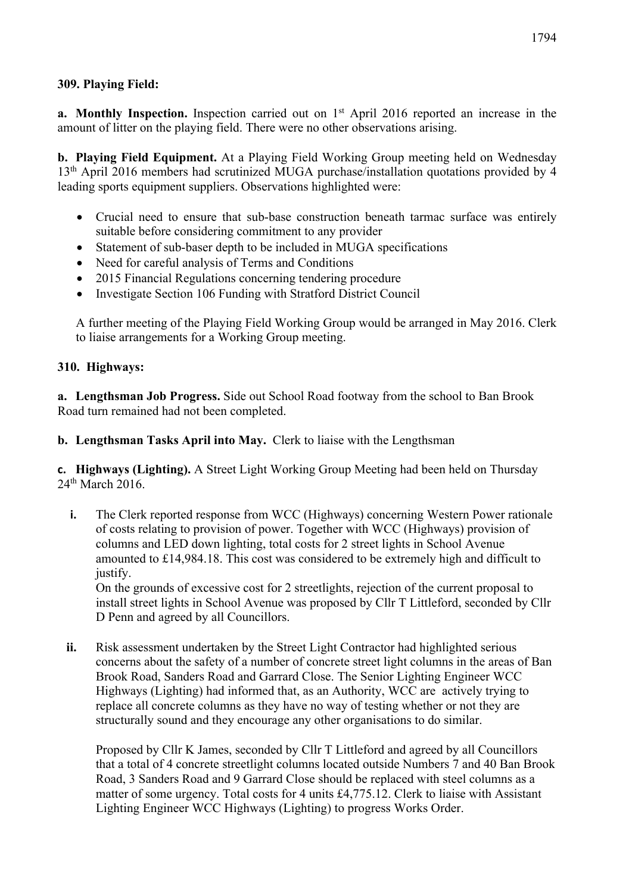#### **309. Playing Field:**

**a.** Monthly Inspection. Inspection carried out on 1<sup>st</sup> April 2016 reported an increase in the amount of litter on the playing field. There were no other observations arising.

**b. Playing Field Equipment.** At a Playing Field Working Group meeting held on Wednesday 13<sup>th</sup> April 2016 members had scrutinized MUGA purchase/installation quotations provided by 4 leading sports equipment suppliers. Observations highlighted were:

- Crucial need to ensure that sub-base construction beneath tarmac surface was entirely suitable before considering commitment to any provider
- Statement of sub-baser depth to be included in MUGA specifications
- Need for careful analysis of Terms and Conditions
- 2015 Financial Regulations concerning tendering procedure
- Investigate Section 106 Funding with Stratford District Council

A further meeting of the Playing Field Working Group would be arranged in May 2016. Clerk to liaise arrangements for a Working Group meeting.

#### **310. Highways:**

**a. Lengthsman Job Progress.** Side out School Road footway from the school to Ban Brook Road turn remained had not been completed.

**b. Lengthsman Tasks April into May.** Clerk to liaise with the Lengthsman

**c. Highways (Lighting).** A Street Light Working Group Meeting had been held on Thursday 24<sup>th</sup> March 2016.

**i.** The Clerk reported response from WCC (Highways) concerning Western Power rationale of costs relating to provision of power. Together with WCC (Highways) provision of columns and LED down lighting, total costs for 2 street lights in School Avenue amounted to £14,984.18. This cost was considered to be extremely high and difficult to justify.

On the grounds of excessive cost for 2 streetlights, rejection of the current proposal to install street lights in School Avenue was proposed by Cllr T Littleford, seconded by Cllr D Penn and agreed by all Councillors.

**ii.** Risk assessment undertaken by the Street Light Contractor had highlighted serious concerns about the safety of a number of concrete street light columns in the areas of Ban Brook Road, Sanders Road and Garrard Close. The Senior Lighting Engineer WCC Highways (Lighting) had informed that, as an Authority, WCC are actively trying to replace all concrete columns as they have no way of testing whether or not they are structurally sound and they encourage any other organisations to do similar.

Proposed by Cllr K James, seconded by Cllr T Littleford and agreed by all Councillors that a total of 4 concrete streetlight columns located outside Numbers 7 and 40 Ban Brook Road, 3 Sanders Road and 9 Garrard Close should be replaced with steel columns as a matter of some urgency. Total costs for 4 units £4,775.12. Clerk to liaise with Assistant Lighting Engineer WCC Highways (Lighting) to progress Works Order.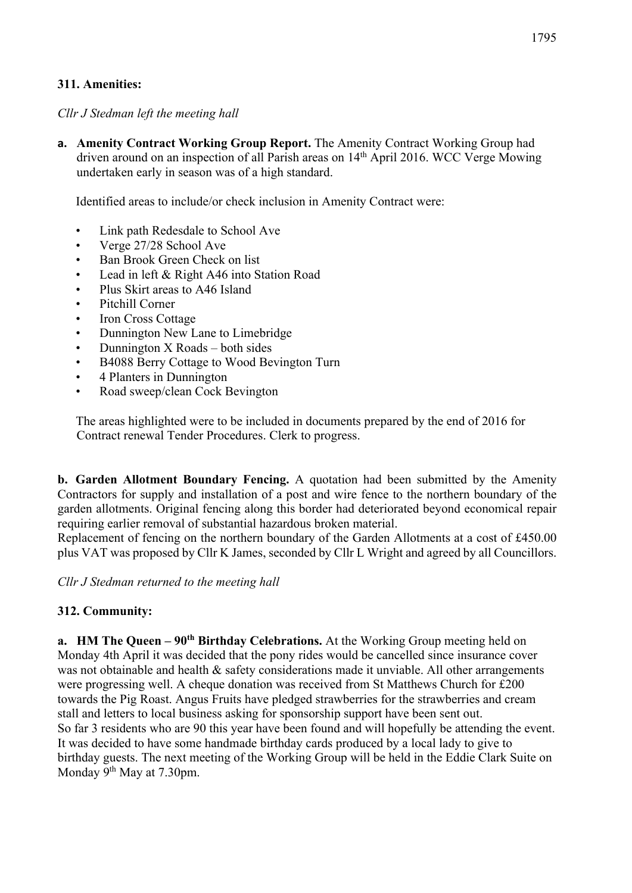# **311. Amenities:**

*Cllr J Stedman left the meeting hall*

**a. Amenity Contract Working Group Report.** The Amenity Contract Working Group had driven around on an inspection of all Parish areas on 14<sup>th</sup> April 2016. WCC Verge Mowing undertaken early in season was of a high standard.

Identified areas to include/or check inclusion in Amenity Contract were:

- Link path Redesdale to School Ave
- Verge 27/28 School Ave
- Ban Brook Green Check on list
- Lead in left & Right A46 into Station Road
- Plus Skirt areas to A46 Island
- Pitchill Corner
- Iron Cross Cottage
- Dunnington New Lane to Limebridge
- Dunnington X Roads both sides
- B4088 Berry Cottage to Wood Bevington Turn
- 4 Planters in Dunnington
- Road sweep/clean Cock Bevington

The areas highlighted were to be included in documents prepared by the end of 2016 for Contract renewal Tender Procedures. Clerk to progress.

**b. Garden Allotment Boundary Fencing.** A quotation had been submitted by the Amenity Contractors for supply and installation of a post and wire fence to the northern boundary of the garden allotments. Original fencing along this border had deteriorated beyond economical repair requiring earlier removal of substantial hazardous broken material.

Replacement of fencing on the northern boundary of the Garden Allotments at a cost of £450.00 plus VAT was proposed by Cllr K James, seconded by Cllr L Wright and agreed by all Councillors.

*Cllr J Stedman returned to the meeting hall*

#### **312. Community:**

**a. HM The Queen – 90th Birthday Celebrations.** At the Working Group meeting held on Monday 4th April it was decided that the pony rides would be cancelled since insurance cover was not obtainable and health & safety considerations made it unviable. All other arrangements were progressing well. A cheque donation was received from St Matthews Church for £200 towards the Pig Roast. Angus Fruits have pledged strawberries for the strawberries and cream stall and letters to local business asking for sponsorship support have been sent out. So far 3 residents who are 90 this year have been found and will hopefully be attending the event. It was decided to have some handmade birthday cards produced by a local lady to give to birthday guests. The next meeting of the Working Group will be held in the Eddie Clark Suite on Monday 9<sup>th</sup> May at 7.30pm.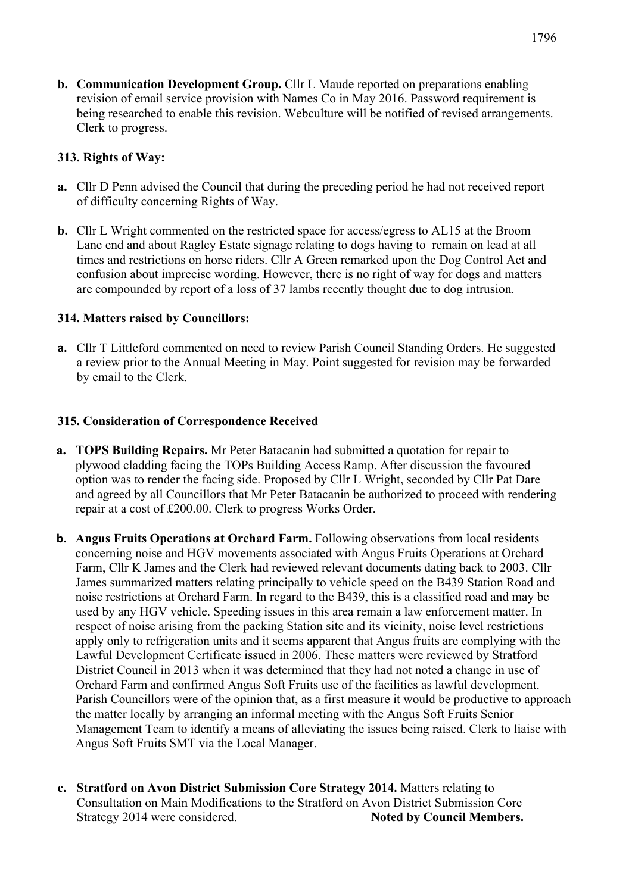**b. Communication Development Group.** Cllr L Maude reported on preparations enabling revision of email service provision with Names Co in May 2016. Password requirement is being researched to enable this revision. Webculture will be notified of revised arrangements. Clerk to progress.

# **313. Rights of Way:**

- **a.** Cllr D Penn advised the Council that during the preceding period he had not received report of difficulty concerning Rights of Way.
- **b.** Cllr L Wright commented on the restricted space for access/egress to AL15 at the Broom Lane end and about Ragley Estate signage relating to dogs having to remain on lead at all times and restrictions on horse riders. Cllr A Green remarked upon the Dog Control Act and confusion about imprecise wording. However, there is no right of way for dogs and matters are compounded by report of a loss of 37 lambs recently thought due to dog intrusion.

# **314. Matters raised by Councillors:**

**a.** Cllr T Littleford commented on need to review Parish Council Standing Orders. He suggested a review prior to the Annual Meeting in May. Point suggested for revision may be forwarded by email to the Clerk.

# **315. Consideration of Correspondence Received**

- **a. TOPS Building Repairs.** Mr Peter Batacanin had submitted a quotation for repair to plywood cladding facing the TOPs Building Access Ramp. After discussion the favoured option was to render the facing side. Proposed by Cllr L Wright, seconded by Cllr Pat Dare and agreed by all Councillors that Mr Peter Batacanin be authorized to proceed with rendering repair at a cost of £200.00. Clerk to progress Works Order.
- **b. Angus Fruits Operations at Orchard Farm.** Following observations from local residents concerning noise and HGV movements associated with Angus Fruits Operations at Orchard Farm, Cllr K James and the Clerk had reviewed relevant documents dating back to 2003. Cllr James summarized matters relating principally to vehicle speed on the B439 Station Road and noise restrictions at Orchard Farm. In regard to the B439, this is a classified road and may be used by any HGV vehicle. Speeding issues in this area remain a law enforcement matter. In respect of noise arising from the packing Station site and its vicinity, noise level restrictions apply only to refrigeration units and it seems apparent that Angus fruits are complying with the Lawful Development Certificate issued in 2006. These matters were reviewed by Stratford District Council in 2013 when it was determined that they had not noted a change in use of Orchard Farm and confirmed Angus Soft Fruits use of the facilities as lawful development. Parish Councillors were of the opinion that, as a first measure it would be productive to approach the matter locally by arranging an informal meeting with the Angus Soft Fruits Senior Management Team to identify a means of alleviating the issues being raised. Clerk to liaise with Angus Soft Fruits SMT via the Local Manager.
- **c. Stratford on Avon District Submission Core Strategy 2014.** Matters relating to Consultation on Main Modifications to the Stratford on Avon District Submission Core Strategy 2014 were considered. **Noted by Council Members.**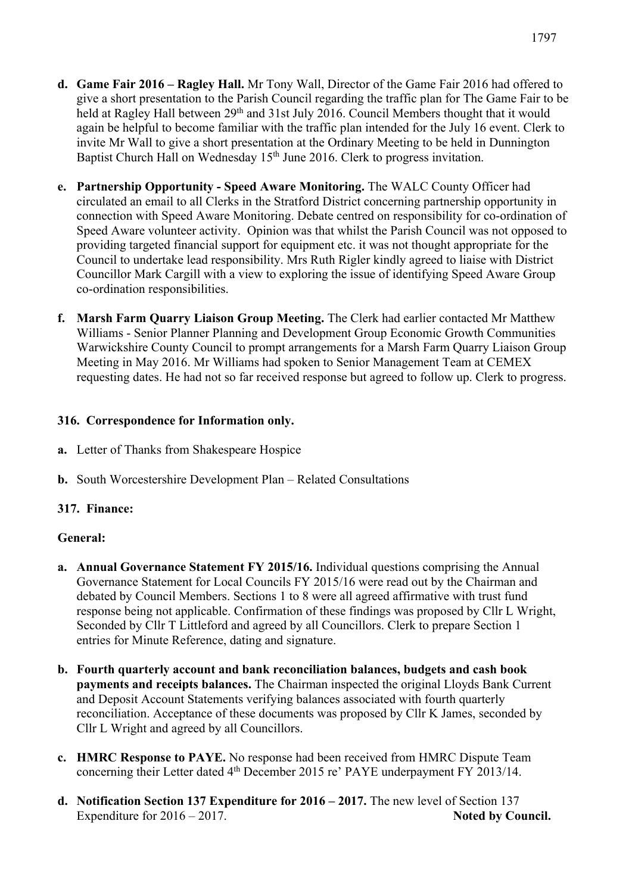- **d. Game Fair 2016 – Ragley Hall.** Mr Tony Wall, Director of the Game Fair 2016 had offered to give a short presentation to the Parish Council regarding the traffic plan for The Game Fair to be held at Ragley Hall between  $29<sup>th</sup>$  and 31st July 2016. Council Members thought that it would again be helpful to become familiar with the traffic plan intended for the July 16 event. Clerk to invite Mr Wall to give a short presentation at the Ordinary Meeting to be held in Dunnington Baptist Church Hall on Wednesday 15<sup>th</sup> June 2016. Clerk to progress invitation.
- **e. Partnership Opportunity - Speed Aware Monitoring.** The WALC County Officer had circulated an email to all Clerks in the Stratford District concerning partnership opportunity in connection with Speed Aware Monitoring. Debate centred on responsibility for co-ordination of Speed Aware volunteer activity. Opinion was that whilst the Parish Council was not opposed to providing targeted financial support for equipment etc. it was not thought appropriate for the Council to undertake lead responsibility. Mrs Ruth Rigler kindly agreed to liaise with District Councillor Mark Cargill with a view to exploring the issue of identifying Speed Aware Group co-ordination responsibilities.
- **f. Marsh Farm Quarry Liaison Group Meeting.** The Clerk had earlier contacted Mr Matthew Williams - Senior Planner Planning and Development Group Economic Growth Communities Warwickshire County Council to prompt arrangements for a Marsh Farm Quarry Liaison Group Meeting in May 2016. Mr Williams had spoken to Senior Management Team at CEMEX requesting dates. He had not so far received response but agreed to follow up. Clerk to progress.

# **316. Correspondence for Information only.**

- **a.** Letter of Thanks from Shakespeare Hospice
- **b.** South Worcestershire Development Plan Related Consultations

#### **317. Finance:**

#### **General:**

- **a. Annual Governance Statement FY 2015/16.** Individual questions comprising the Annual Governance Statement for Local Councils FY 2015/16 were read out by the Chairman and debated by Council Members. Sections 1 to 8 were all agreed affirmative with trust fund response being not applicable. Confirmation of these findings was proposed by Cllr L Wright, Seconded by Cllr T Littleford and agreed by all Councillors. Clerk to prepare Section 1 entries for Minute Reference, dating and signature.
- **b. Fourth quarterly account and bank reconciliation balances, budgets and cash book payments and receipts balances.** The Chairman inspected the original Lloyds Bank Current and Deposit Account Statements verifying balances associated with fourth quarterly reconciliation. Acceptance of these documents was proposed by Cllr K James, seconded by Cllr L Wright and agreed by all Councillors.
- **c. HMRC Response to PAYE.** No response had been received from HMRC Dispute Team concerning their Letter dated 4<sup>th</sup> December 2015 re' PAYE underpayment FY 2013/14.
- **d. Notification Section 137 Expenditure for 2016 – 2017.** The new level of Section 137 Expenditure for 2016 – 2017.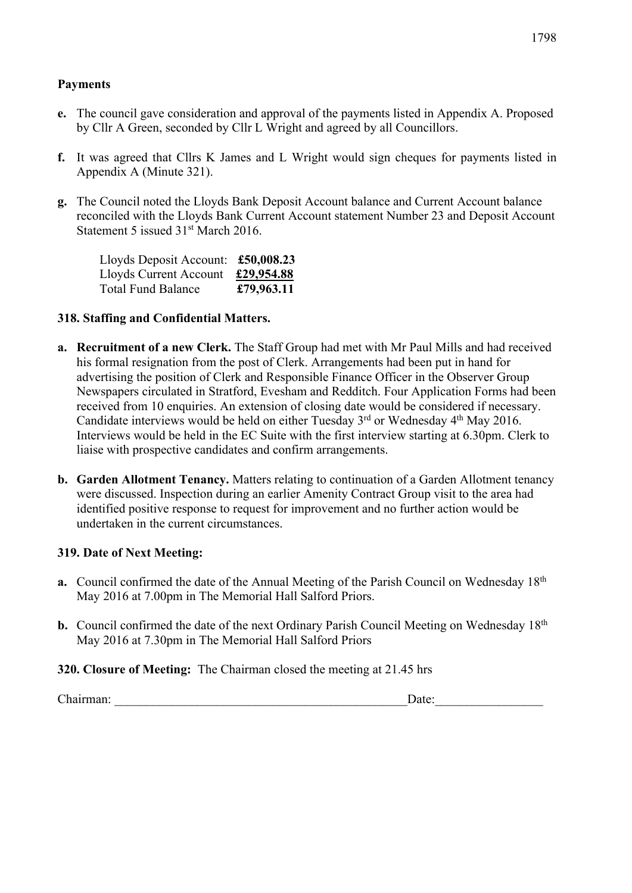#### **Payments**

- **e.** The council gave consideration and approval of the payments listed in Appendix A. Proposed by Cllr A Green, seconded by Cllr L Wright and agreed by all Councillors.
- **f.** It was agreed that Cllrs K James and L Wright would sign cheques for payments listed in Appendix A (Minute 321).
- **g.** The Council noted the Lloyds Bank Deposit Account balance and Current Account balance reconciled with the Lloyds Bank Current Account statement Number 23 and Deposit Account Statement 5 issued 31st March 2016.

| Lloyds Deposit Account: $£50,008.23$ |            |
|--------------------------------------|------------|
| Lloyds Current Account               | £29,954.88 |
| Total Fund Balance                   | £79,963.11 |

#### **318. Staffing and Confidential Matters.**

- **a. Recruitment of a new Clerk.** The Staff Group had met with Mr Paul Mills and had received his formal resignation from the post of Clerk. Arrangements had been put in hand for advertising the position of Clerk and Responsible Finance Officer in the Observer Group Newspapers circulated in Stratford, Evesham and Redditch. Four Application Forms had been received from 10 enquiries. An extension of closing date would be considered if necessary. Candidate interviews would be held on either Tuesday 3<sup>rd</sup> or Wednesday 4<sup>th</sup> May 2016. Interviews would be held in the EC Suite with the first interview starting at 6.30pm. Clerk to liaise with prospective candidates and confirm arrangements.
- **b. Garden Allotment Tenancy.** Matters relating to continuation of a Garden Allotment tenancy were discussed. Inspection during an earlier Amenity Contract Group visit to the area had identified positive response to request for improvement and no further action would be undertaken in the current circumstances.

#### **319. Date of Next Meeting:**

- **a.** Council confirmed the date of the Annual Meeting of the Parish Council on Wednesday 18th May 2016 at 7.00pm in The Memorial Hall Salford Priors.
- **b.** Council confirmed the date of the next Ordinary Parish Council Meeting on Wednesday 18<sup>th</sup> May 2016 at 7.30pm in The Memorial Hall Salford Priors

#### **320. Closure of Meeting:** The Chairman closed the meeting at 21.45 hrs

Chairman: \_\_\_\_\_\_\_\_\_\_\_\_\_\_\_\_\_\_\_\_\_\_\_\_\_\_\_\_\_\_\_\_\_\_\_\_\_\_\_\_\_\_\_\_\_\_Date:\_\_\_\_\_\_\_\_\_\_\_\_\_\_\_\_\_